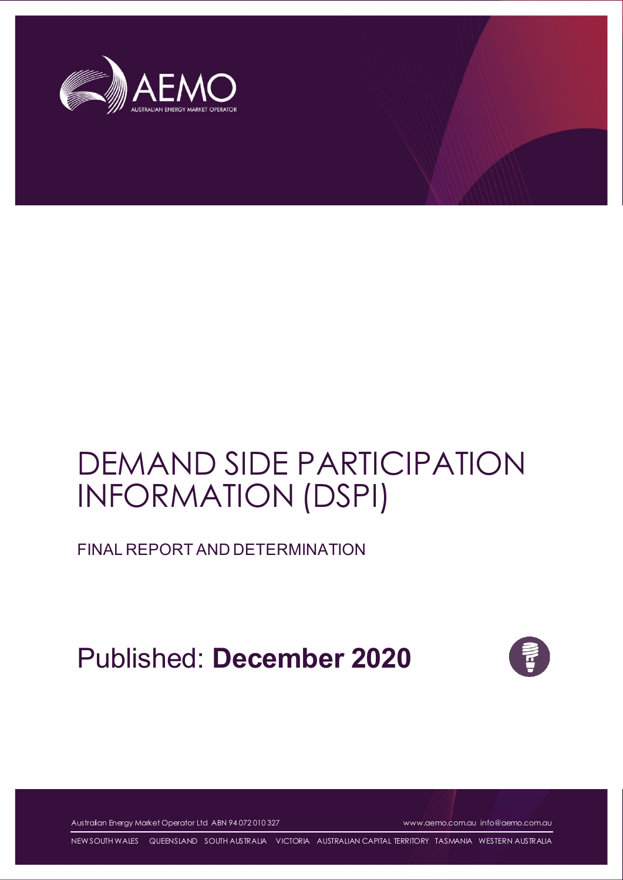

# DEMAND SIDE PARTICIPATION INFORMATION (DSPI)

FINAL REPORT AND DETERMINATION

Published: **December 2020**



Australian Energy Market Operator Ltd ABN 94 072 010 327 [www.aemo.com.au](http://www.aemo.com.au/) [info@aemo.com.au](mailto:info@aemo.com.au)

NEW SOUTH WALES QUEENSLAND SOUTH AUSTRALIA VICTORIA AUSTRALIAN CAPITAL TERRITORY TASMANIA WESTERN AUSTRALIA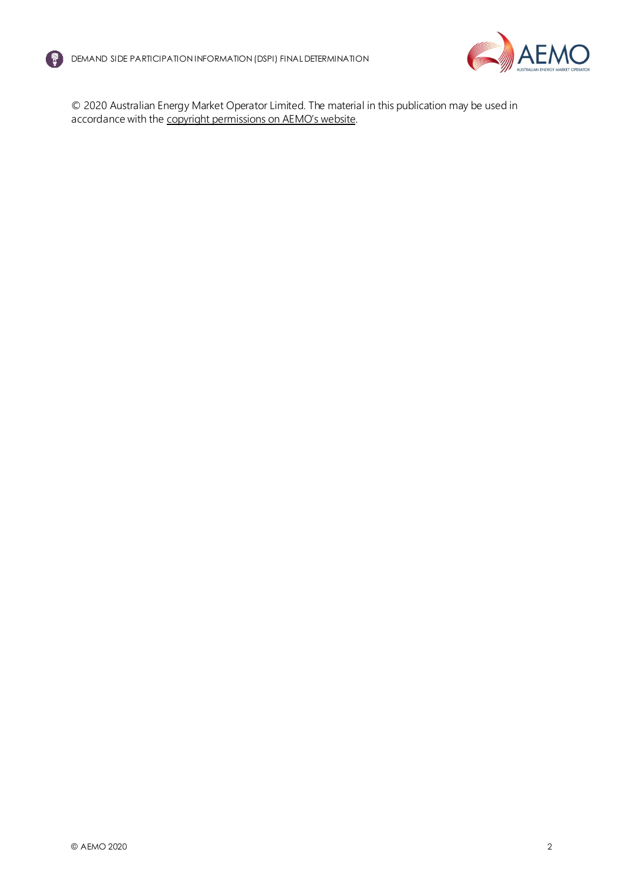



© 2020 Australian Energy Market Operator Limited. The material in this publication may be used in accordance with the [copyright permissions on AEMO's website](http://aemo.com.au/Privacy_and_Legal_Notices/Copyright_Permissions_Notice).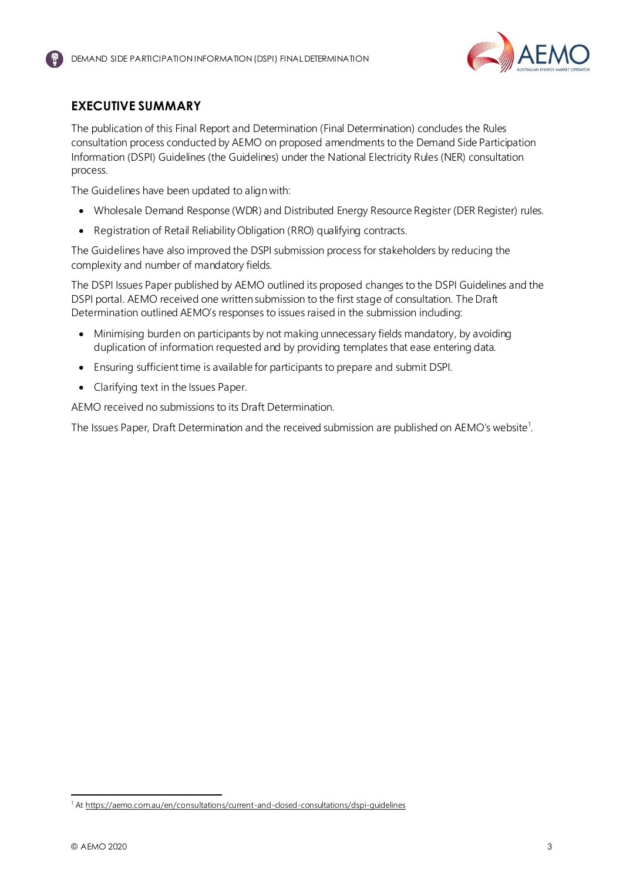

# <span id="page-2-0"></span>**EXECUTIVE SUMMARY**

The publication of this Final Report and Determination (Final Determination) concludes the Rules consultation process conducted by AEMO on proposed amendments to the Demand Side Participation Information (DSPI) Guidelines (the Guidelines) under the National Electricity Rules (NER) consultation process.

The Guidelines have been updated to align with:

- Wholesale Demand Response (WDR) and Distributed Energy Resource Register (DER Register) rules.
- Registration of Retail Reliability Obligation (RRO) qualifying contracts.

The Guidelines have also improved the DSPI submission process for stakeholders by reducing the complexity and number of mandatory fields.

The DSPI Issues Paper published by AEMO outlined its proposed changes to the DSPI Guidelines and the DSPI portal. AEMO received one written submission to the first stage of consultation. The Draft Determination outlined AEMO's responses to issues raised in the submission including:

- Minimising burden on participants by not making unnecessary fields mandatory, by avoiding duplication of information requested and by providing templates that ease entering data.
- Ensuring sufficient time is available for participants to prepare and submit DSPI.
- Clarifying text in the Issues Paper.

AEMO received no submissions to its Draft Determination.

The Issues Paper, Draft Determination and the received submission are published on AEMO's website<sup>1</sup>.

<sup>&</sup>lt;sup>1</sup> At https://aemo.com.au/en/consultations/current-and-closed-consultations/dspi-quidelines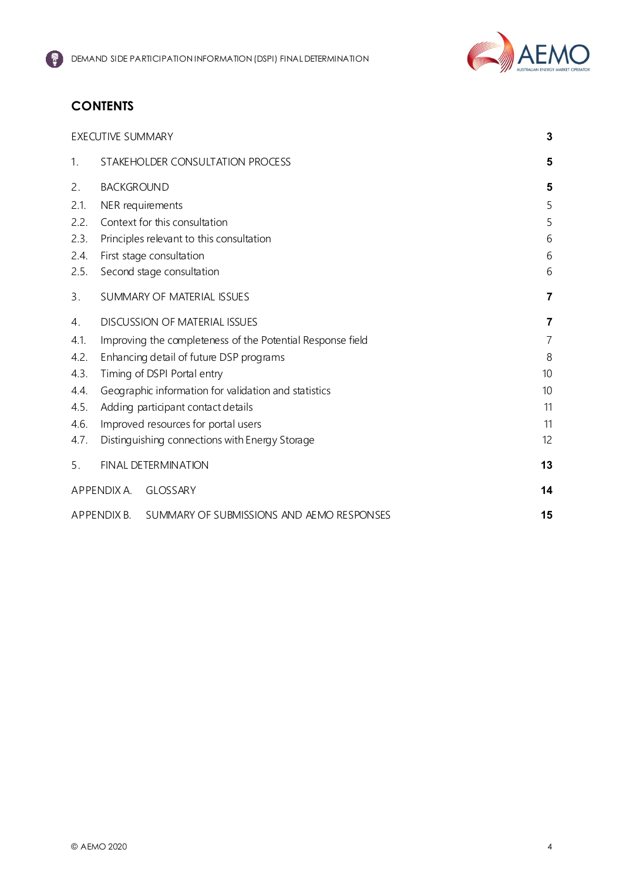

# **CONTENTS**

|                | <b>EXECUTIVE SUMMARY</b> |                                                            | 3              |
|----------------|--------------------------|------------------------------------------------------------|----------------|
| 1.             |                          | STAKEHOLDER CONSULTATION PROCESS                           | 5              |
| 2.             | <b>BACKGROUND</b>        |                                                            | 5              |
| 2.1.           |                          | NER requirements                                           | 5              |
| 2.2.           |                          | Context for this consultation                              | 5              |
| 2.3.           |                          | Principles relevant to this consultation                   | 6              |
| 2.4.           |                          | First stage consultation                                   | 6              |
| 2.5.           |                          | Second stage consultation                                  | 6              |
| 3.             |                          | SUMMARY OF MATERIAL ISSUES                                 | 7              |
| 4 <sub>1</sub> |                          | <b>DISCUSSION OF MATERIAL ISSUES</b>                       | 7              |
| 4.1.           |                          | Improving the completeness of the Potential Response field | $\overline{7}$ |
| 4.2.           |                          | Enhancing detail of future DSP programs                    | 8              |
| 4.3.           |                          | Timing of DSPI Portal entry                                | 10             |
| 4.4.           |                          | Geographic information for validation and statistics       | 10             |
| 4.5.           |                          | Adding participant contact details                         | 11             |
| 4.6.           |                          | Improved resources for portal users                        | 11             |
| 4.7.           |                          | Distinguishing connections with Energy Storage             | 12             |
| 5.             |                          | <b>FINAL DETERMINATION</b>                                 | 13             |
|                | APPENDIX A.              | <b>GLOSSARY</b>                                            | 14             |
|                | APPENDIX B.              | SUMMARY OF SUBMISSIONS AND AEMO RESPONSES                  | 15             |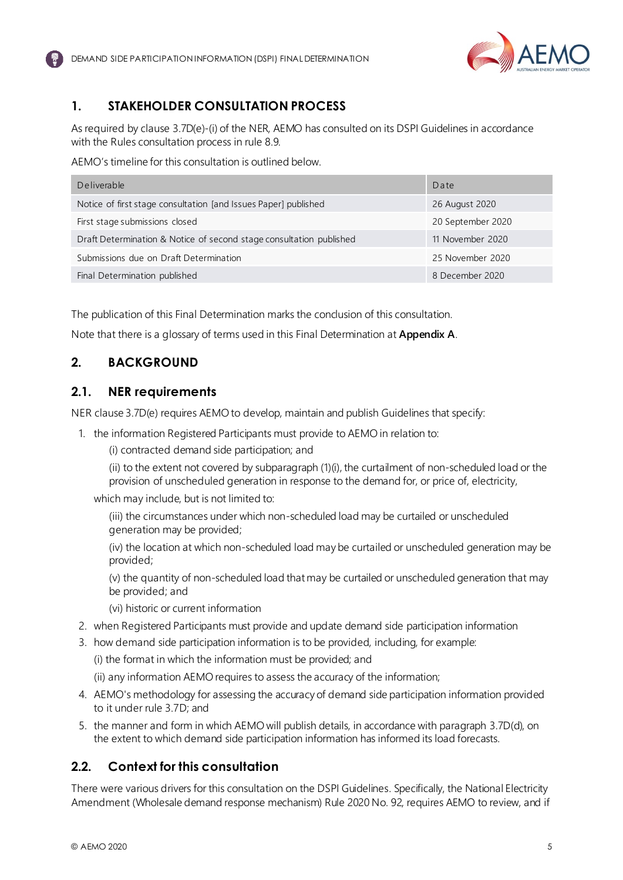

# <span id="page-4-0"></span>**1. STAKEHOLDER CONSULTATION PROCESS**

As required by clause 3.7D(e)-(i) of the NER, AEMO has consulted on its DSPI Guidelines in accordance with the Rules consultation process in rule 8.9.

AEMO's timeline for this consultation is outlined below.

| Deliverable                                                         | Date              |
|---------------------------------------------------------------------|-------------------|
| Notice of first stage consultation [and Issues Paper] published     | 26 August 2020    |
| First stage submissions closed                                      | 20 September 2020 |
| Draft Determination & Notice of second stage consultation published | 11 November 2020  |
| Submissions due on Draft Determination                              | 25 November 2020  |
| Final Determination published                                       | 8 December 2020   |

The publication of this Final Determination marks the conclusion of this consultation.

Note that there is a glossary of terms used in this Final Determination at **Appendix A**.

# <span id="page-4-1"></span>**2. BACKGROUND**

## <span id="page-4-2"></span>**2.1. NER requirements**

NER clause 3.7D(e) requires AEMO to develop, maintain and publish Guidelines that specify:

1. the information Registered Participants must provide to AEMO in relation to:

(i) contracted demand side participation; and

(ii) to the extent not covered by subparagraph (1)(i), the curtailment of non-scheduled load or the provision of unscheduled generation in response to the demand for, or price of, electricity,

which may include, but is not limited to:

(iii) the circumstances under which non-scheduled load may be curtailed or unscheduled generation may be provided;

(iv) the location at which non-scheduled load may be curtailed or unscheduled generation may be provided;

(v) the quantity of non-scheduled load that may be curtailed or unscheduled generation that may be provided; and

- (vi) historic or current information
- 2. when Registered Participants must provide and update demand side participation information
- 3. how demand side participation information is to be provided, including, for example:

(i) the format in which the information must be provided; and

(ii) any information AEMO requires to assess the accuracy of the information;

- 4. AEMO's methodology for assessing the accuracy of demand side participation information provided to it under rule 3.7D; and
- 5. the manner and form in which AEMO will publish details, in accordance with paragraph 3.7D(d), on the extent to which demand side participation information has informed its load forecasts.

# <span id="page-4-3"></span>**2.2. Context for this consultation**

There were various drivers for this consultation on the DSPI Guidelines. Specifically, the National Electricity Amendment (Wholesale demand response mechanism) Rule 2020 No. 92, requires AEMO to review, and if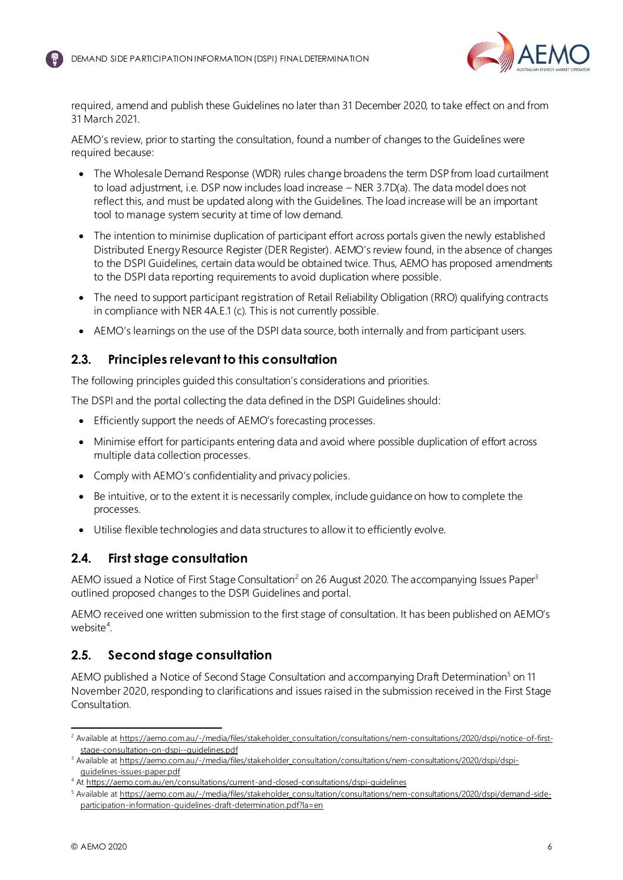

required, amend and publish these Guidelines no later than 31 December 2020, to take effect on and from 31 March 2021.

AEMO's review, prior to starting the consultation, found a number of changes to the Guidelines were required because:

- The Wholesale Demand Response (WDR) rules change broadens the term DSP from load curtailment to load adjustment, i.e. DSP now includes load increase – NER 3.7D(a). The data model does not reflect this, and must be updated along with the Guidelines. The load increase will be an important tool to manage system security at time of low demand.
- The intention to minimise duplication of participant effort across portals given the newly established Distributed Energy Resource Register (DER Register). AEMO's review found, in the absence of changes to the DSPI Guidelines, certain data would be obtained twice. Thus, AEMO has proposed amendments to the DSPI data reporting requirements to avoid duplication where possible.
- The need to support participant registration of Retail Reliability Obligation (RRO) qualifying contracts in compliance with NER 4A.E.1 (c). This is not currently possible.
- AEMO's learnings on the use of the DSPI data source, both internally and from participant users.

## <span id="page-5-0"></span>**2.3. Principles relevant to this consultation**

The following principles guided this consultation's considerations and priorities.

The DSPI and the portal collecting the data defined in the DSPI Guidelines should:

- Efficiently support the needs of AEMO's forecasting processes.
- Minimise effort for participants entering data and avoid where possible duplication of effort across multiple data collection processes.
- Comply with AEMO's confidentiality and privacy policies.
- Be intuitive, or to the extent it is necessarily complex, include guidance on how to complete the processes.
- <span id="page-5-3"></span>• Utilise flexible technologies and data structures to allow it to efficiently evolve.

## <span id="page-5-1"></span>**2.4. First stage consultation**

AEMO issued a Notice of First Stage Consultation<sup>2</sup> on 26 August 2020. The accompanying Issues Paper<sup>3</sup> outlined proposed changes to the DSPI Guidelines and portal.

AEMO received one written submission to the first stage of consultation. It has been published on AEMO's website<sup>4</sup>.

# <span id="page-5-2"></span>**2.5. Second stage consultation**

<span id="page-5-4"></span>AEMO published a Notice of Second Stage Consultation and accompanying Draft Determination<sup>5</sup> on 11 November 2020, responding to clarifications and issues raised in the submission received in the First Stage Consultation.

<sup>&</sup>lt;sup>2</sup> Available at https://aemo.com.au/-/media/files/stakeholder consultation/consultations/nem-consultations/2020/dspi/notice-of-first[stage-consultation-on-dspi--guidelines.pdf](https://aemo.com.au/-/media/files/stakeholder_consultation/consultations/nem-consultations/2020/dspi/notice-of-first-stage-consultation-on-dspi--guidelines.pdf?la=en)

<sup>&</sup>lt;sup>3</sup> Available a[t https://aemo.com.au/-/media/files/stakeholder\\_consultation/consultations/nem-consultations/2020/dspi/dspi](https://aemo.com.au/-/media/files/stakeholder_consultation/consultations/nem-consultations/2020/dspi/dspi-guidelines-issues-paper.pdf?la=en)[guidelines-issues-paper.pdf](https://aemo.com.au/-/media/files/stakeholder_consultation/consultations/nem-consultations/2020/dspi/dspi-guidelines-issues-paper.pdf?la=en)

<sup>4</sup> At<https://aemo.com.au/en/consultations/current-and-closed-consultations/dspi-guidelines>

<sup>5</sup> Available a[t https://aemo.com.au/-/media/files/stakeholder\\_consultation/consultations/nem-consultations/2020/dspi/demand-side](https://aemo.com.au/-/media/files/stakeholder_consultation/consultations/nem-consultations/2020/dspi/demand-side-participation-information-guidelines-draft-determination.pdf?la=en)[participation-information-guidelines-draft-determination.pdf?la=en](https://aemo.com.au/-/media/files/stakeholder_consultation/consultations/nem-consultations/2020/dspi/demand-side-participation-information-guidelines-draft-determination.pdf?la=en)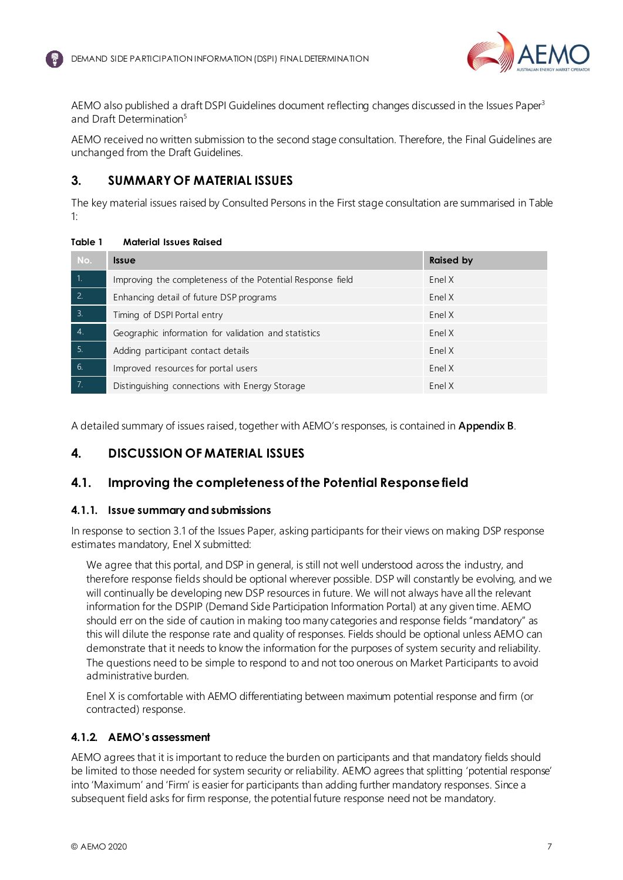

AEMO also published a draft DSPI Guidelines document reflecting changes discussed in the Issues Pap[er](#page-5-3)<sup>3</sup> and Draft Determinati[on](#page-5-4)<sup>5</sup>

AEMO received no written submission to the second stage consultation. Therefore, the Final Guidelines are unchanged from the Draft Guidelines.

## <span id="page-6-0"></span>**3. SUMMARY OF MATERIAL ISSUES**

<span id="page-6-4"></span>The key material issues raised by Consulted Persons in the First stage consultation are summarised i[n Table](#page-6-3)  [1:](#page-6-3)

#### <span id="page-6-3"></span>**Table 1 Material Issues Raised**

| No.                         | <b>Issue</b>                                               | <b>Raised by</b> |
|-----------------------------|------------------------------------------------------------|------------------|
| T1.                         | Improving the completeness of the Potential Response field | Enel X           |
| 2.                          | Enhancing detail of future DSP programs                    | Enel X           |
| $\overline{\phantom{a}}$ 3. | Timing of DSPI Portal entry                                | Enel X           |
| $\overline{4}$              | Geographic information for validation and statistics       | Enel X           |
| 5.                          | Adding participant contact details                         | Enel X           |
| 6.                          | Improved resources for portal users                        | Enel X           |
| 7.                          | Distinguishing connections with Energy Storage             | Enel X           |

A detailed summary of issues raised, together with AEMO's responses, is contained in **Appendix B**.

# <span id="page-6-1"></span>**4. DISCUSSION OF MATERIAL ISSUES**

## <span id="page-6-2"></span>**4.1. Improving the completeness of the Potential Response field**

#### **4.1.1. Issue summary and submissions**

In response to section 3.1 of the Issues Paper, asking participants for their views on making DSP response estimates mandatory, Enel X submitted:

We agree that this portal, and DSP in general, is still not well understood across the industry, and therefore response fields should be optional wherever possible. DSP will constantly be evolving, and we will continually be developing new DSP resources in future. We will not always have all the relevant information for the DSPIP (Demand Side Participation Information Portal) at any given time. AEMO should err on the side of caution in making too many categories and response fields "mandatory" as this will dilute the response rate and quality of responses. Fields should be optional unless AEMO can demonstrate that it needs to know the information for the purposes of system security and reliability. The questions need to be simple to respond to and not too onerous on Market Participants to avoid administrative burden.

Enel X is comfortable with AEMO differentiating between maximum potential response and firm (or contracted) response.

#### **4.1.2. AEMO's assessment**

AEMO agrees that it is important to reduce the burden on participants and that mandatory fields should be limited to those needed for system security or reliability. AEMO agrees that splitting 'potential response' into 'Maximum' and 'Firm' is easier for participants than adding further mandatory responses. Since a subsequent field asks for firm response, the potential future response need not be mandatory.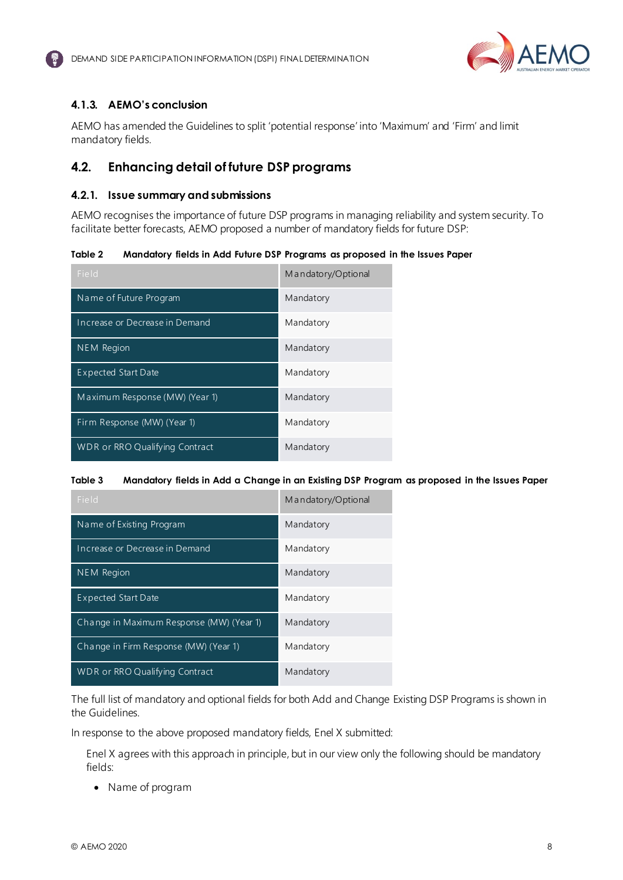

## <span id="page-7-1"></span>**4.1.3. AEMO's conclusion**

AEMO has amended the Guidelines to split 'potential response' into 'Maximum' and 'Firm' and limit mandatory fields.

# <span id="page-7-0"></span>**4.2. Enhancing detail of future DSP programs**

#### **4.2.1. Issue summary and submissions**

AEMO recognises the importance of future DSP programs in managing reliability and system security. To facilitate better forecasts, AEMO proposed a number of mandatory fields for future DSP:

| Table 2 |  |  | Mandatory fields in Add Future DSP Programs as proposed in the Issues Paper |
|---------|--|--|-----------------------------------------------------------------------------|
|         |  |  |                                                                             |

| Field                          | Mandatory/Optional |
|--------------------------------|--------------------|
| Name of Future Program         | Mandatory          |
| Increase or Decrease in Demand | Mandatory          |
| NEM Region                     | Mandatory          |
| <b>Expected Start Date</b>     | Mandatory          |
| Maximum Response (MW) (Year 1) | Mandatory          |
| Firm Response (MW) (Year 1)    | Mandatory          |
| WDR or RRO Qualifying Contract | Mandatory          |

#### **Table 3 Mandatory fields in Add a Change in an Existing DSP Program as proposed in the Issues Paper**

| Field                                    | Mandatory/Optional |
|------------------------------------------|--------------------|
| Name of Existing Program                 | Mandatory          |
| Increase or Decrease in Demand           | Mandatory          |
| <b>NEM Region</b>                        | Mandatory          |
| <b>Expected Start Date</b>               | Mandatory          |
| Change in Maximum Response (MW) (Year 1) | Mandatory          |
| Change in Firm Response (MW) (Year 1)    | Mandatory          |
| WDR or RRO Qualifying Contract           | Mandatory          |

The full list of mandatory and optional fields for both Add and Change Existing DSP Programs is shown in the Guidelines.

In response to the above proposed mandatory fields, Enel X submitted:

Enel X agrees with this approach in principle, but in our view only the following should be mandatory fields:

• Name of program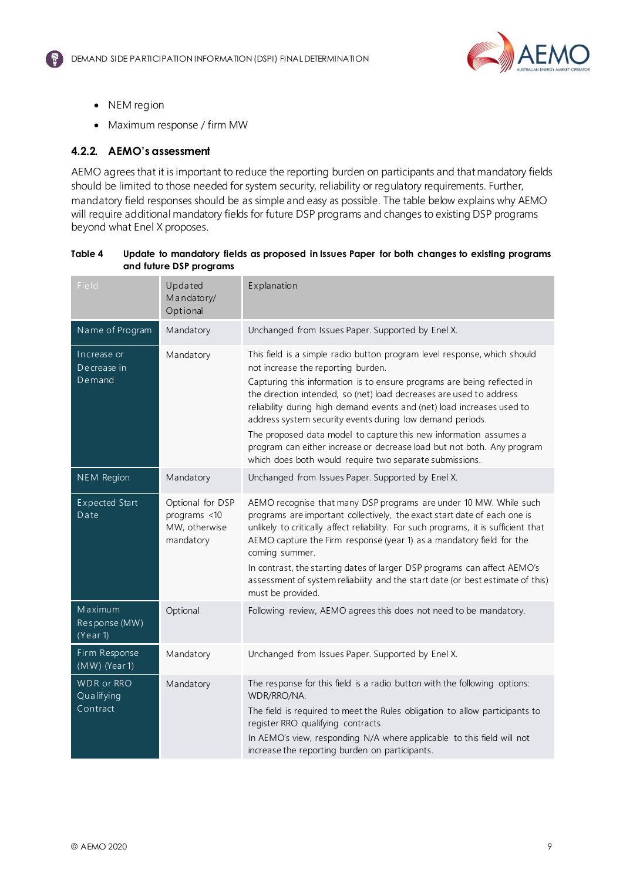

- NEM region
- Maximum response / firm MW

#### **4.2.2. AEMO's assessment**

AEMO agrees that it is important to reduce the reporting burden on participants and that mandatory fields should be limited to those needed for system security, reliability or regulatory requirements. Further, mandatory field responses should be as simple and easy as possible. The table below explains why AEMO will require additional mandatory fields for future DSP programs and changes to existing DSP programs beyond what Enel X proposes.

| and future DSP programs                     |                                                                |                                                                                                                                                                                                                                                                                                                                                                                                                                                                                                                                                                                                                   |  |  |  |
|---------------------------------------------|----------------------------------------------------------------|-------------------------------------------------------------------------------------------------------------------------------------------------------------------------------------------------------------------------------------------------------------------------------------------------------------------------------------------------------------------------------------------------------------------------------------------------------------------------------------------------------------------------------------------------------------------------------------------------------------------|--|--|--|
| Field                                       | Updated<br>Mandatory/<br>Optional                              | Explanation                                                                                                                                                                                                                                                                                                                                                                                                                                                                                                                                                                                                       |  |  |  |
| Name of Program                             | Mandatory                                                      | Unchanged from Issues Paper. Supported by Enel X.                                                                                                                                                                                                                                                                                                                                                                                                                                                                                                                                                                 |  |  |  |
| Increase or<br>Decrease in<br>Demand        | Mandatory                                                      | This field is a simple radio button program level response, which should<br>not increase the reporting burden.<br>Capturing this information is to ensure programs are being reflected in<br>the direction intended, so (net) load decreases are used to address<br>reliability during high demand events and (net) load increases used to<br>address system security events during low demand periods.<br>The proposed data model to capture this new information assumes a<br>program can either increase or decrease load but not both. Any program<br>which does both would require two separate submissions. |  |  |  |
| NEM Region                                  | Mandatory                                                      | Unchanged from Issues Paper. Supported by Enel X.                                                                                                                                                                                                                                                                                                                                                                                                                                                                                                                                                                 |  |  |  |
| <b>Expected Start</b><br>Date               | Optional for DSP<br>programs <10<br>MW, otherwise<br>mandatory | AEMO recognise that many DSP programs are under 10 MW. While such<br>programs are important collectively, the exact start date of each one is<br>unlikely to critically affect reliability. For such programs, it is sufficient that<br>AEMO capture the Firm response (year 1) as a mandatory field for the<br>coming summer.<br>In contrast, the starting dates of larger DSP programs can affect AEMO's<br>assessment of system reliability and the start date (or best estimate of this)<br>must be provided.                                                                                                 |  |  |  |
| Maximum<br>Response (MW)<br>(Year 1)        | Optional                                                       | Following review, AEMO agrees this does not need to be mandatory.                                                                                                                                                                                                                                                                                                                                                                                                                                                                                                                                                 |  |  |  |
| Firm Response<br>$(MW)$ (Year 1)            | Mandatory                                                      | Unchanged from Issues Paper. Supported by Enel X.                                                                                                                                                                                                                                                                                                                                                                                                                                                                                                                                                                 |  |  |  |
| <b>WDR</b> or RRO<br>Qualifying<br>Contract | Mandatory                                                      | The response for this field is a radio button with the following options:<br>WDR/RRO/NA.<br>The field is required to meet the Rules obligation to allow participants to<br>register RRO qualifying contracts.<br>In AEMO's view, responding N/A where applicable to this field will not<br>increase the reporting burden on participants.                                                                                                                                                                                                                                                                         |  |  |  |

#### **Table 4 Update to mandatory fields as proposed in Issues Paper for both changes to existing programs and future DSP programs**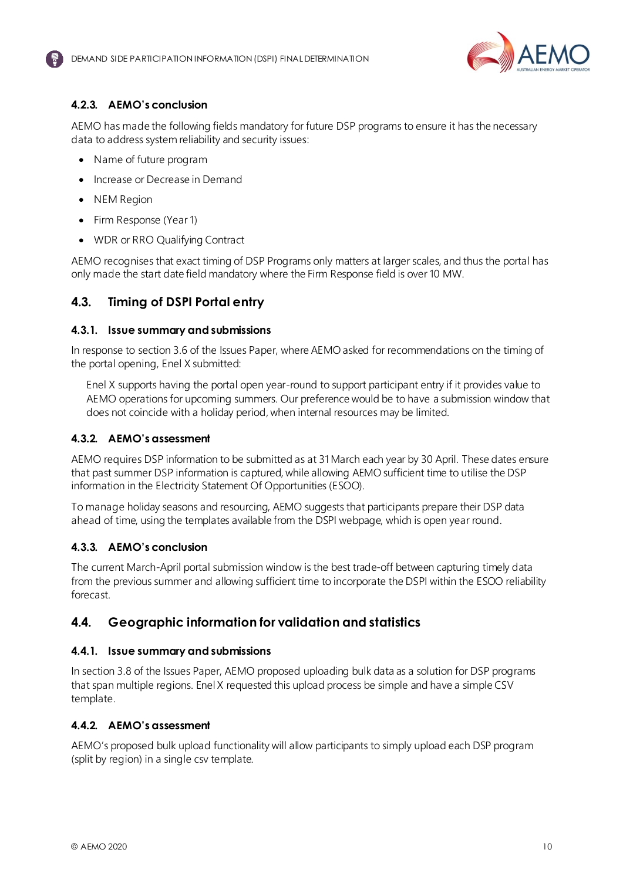

## <span id="page-9-2"></span>**4.2.3. AEMO's conclusion**

AEMO has made the following fields mandatory for future DSP programs to ensure it has the necessary data to address system reliability and security issues:

- Name of future program
- Increase or Decrease in Demand
- NEM Region
- Firm Response (Year 1)
- WDR or RRO Qualifying Contract

AEMO recognises that exact timing of DSP Programs only matters at larger scales, and thus the portal has only made the start date field mandatory where the Firm Response field is over 10 MW.

## <span id="page-9-0"></span>**4.3. Timing of DSPI Portal entry**

#### **4.3.1. Issue summary and submissions**

<span id="page-9-3"></span>In response to section 3.6 of the Issues Paper, where AEMO asked for recommendations on the timing of the portal opening, Enel X submitted:

Enel X supports having the portal open year-round to support participant entry if it provides value to AEMO operations for upcoming summers. Our preference would be to have a submission window that does not coincide with a holiday period, when internal resources may be limited.

#### **4.3.2. AEMO's assessment**

AEMO requires DSP information to be submitted as at 31 March each year by 30 April. These dates ensure that past summer DSP information is captured, while allowing AEMO sufficient time to utilise the DSP information in the Electricity Statement Of Opportunities (ESOO).

To manage holiday seasons and resourcing, AEMO suggests that participants prepare their DSP data ahead of time, using the templates available from the DSPI webpage, which is open year round.

#### **4.3.3. AEMO's conclusion**

The current March-April portal submission window is the best trade-off between capturing timely data from the previous summer and allowing sufficient time to incorporate the DSPI within the ESOO reliability forecast.

#### <span id="page-9-1"></span>**4.4. Geographic information for validation and statistics**

#### **4.4.1. Issue summary and submissions**

In section 3.8 of the Issues Paper, AEMO proposed uploading bulk data as a solution for DSP programs that span multiple regions. Enel X requested this upload process be simple and have a simple CSV template.

#### **4.4.2. AEMO's assessment**

AEMO's proposed bulk upload functionality will allow participants to simply upload each DSP program (split by region) in a single csv template.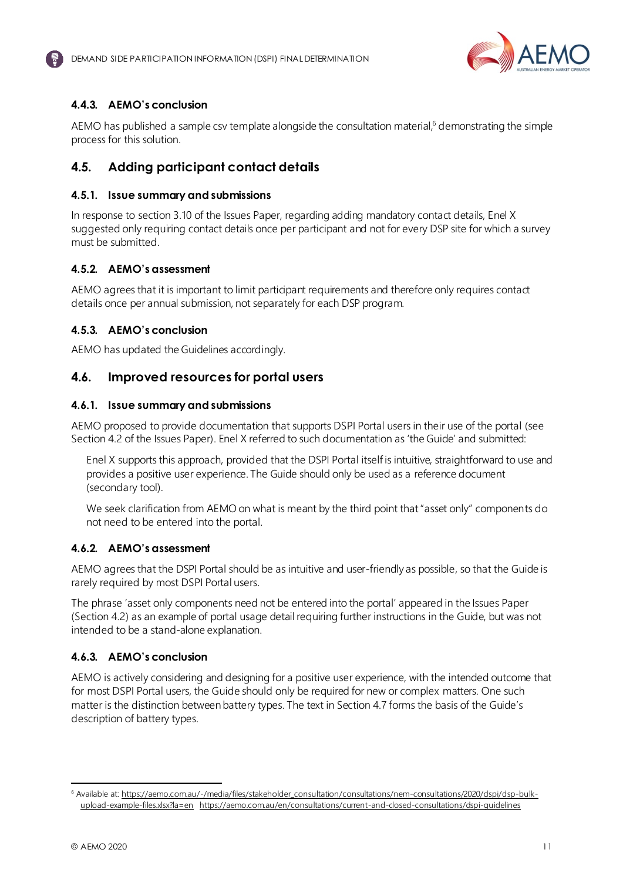

## <span id="page-10-3"></span><span id="page-10-2"></span>**4.4.3. AEMO's conclusion**

AEMO has published a sample csv template alongside the consultation material,<sup>6</sup> demonstrating the simple process for this solution.

# <span id="page-10-0"></span>**4.5. Adding participant contact details**

#### **4.5.1. Issue summary and submissions**

In response to section 3.10 of the Issues Paper, regarding adding mandatory contact details, Enel X suggested only requiring contact details once per participant and not for every DSP site for which a survey must be submitted.

#### **4.5.2. AEMO's assessment**

AEMO agrees that it is important to limit participant requirements and therefore only requires contact details once per annual submission, not separately for each DSP program.

#### **4.5.3. AEMO's conclusion**

AEMO has updated the Guidelines accordingly.

## <span id="page-10-1"></span>**4.6. Improved resources for portal users**

#### **4.6.1. Issue summary and submissions**

AEMO proposed to provide documentation that supports DSPI Portal users in their use of the portal (see Section 4.2 of the Issues Paper). Enel X referred to such documentation as 'the Guide' and submitted:

Enel X supports this approach, provided that the DSPI Portal itself is intuitive, straightforward to use and provides a positive user experience. The Guide should only be used as a reference document (secondary tool).

We seek clarification from AEMO on what is meant by the third point that "asset only" components do not need to be entered into the portal.

#### **4.6.2. AEMO's assessment**

AEMO agrees that the DSPI Portal should be as intuitive and user-friendly as possible, so that the Guide is rarely required by most DSPI Portal users.

The phrase 'asset only components need not be entered into the portal' appeared in the Issues Paper (Section 4.2) as an example of portal usage detail requiring further instructions in the Guide, but was not intended to be a stand-alone explanation.

#### **4.6.3. AEMO's conclusion**

AEMO is actively considering and designing for a positive user experience, with the intended outcome that for most DSPI Portal users, the Guide should only be required for new or complex matters. One such matter is the distinction between battery types. The text in Section 4.7 forms the basis of the Guide's description of battery types.

<sup>6</sup> Available at: [https://aemo.com.au/-/media/files/stakeholder\\_consultation/consultations/nem-consultations/2020/dspi/dsp-bulk](https://aemo.com.au/-/media/files/stakeholder_consultation/consultations/nem-consultations/2020/dspi/dsp-bulk-upload-example-files.xlsx?la=en)[upload-example-files.xlsx?la=en](https://aemo.com.au/-/media/files/stakeholder_consultation/consultations/nem-consultations/2020/dspi/dsp-bulk-upload-example-files.xlsx?la=en) https://aemo.com.au/en/consultations/current-and-dosed-consultations/dspi-quidelines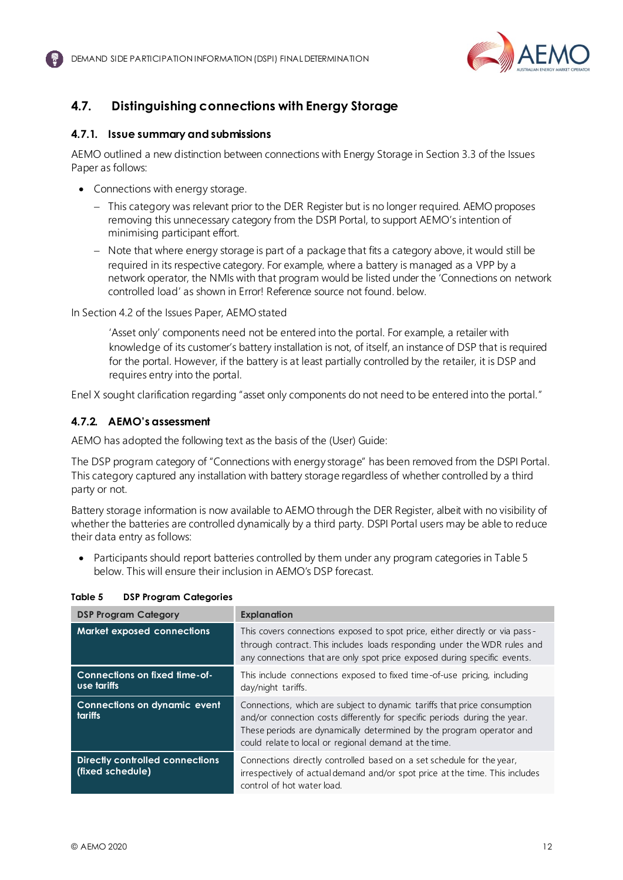

# <span id="page-11-2"></span><span id="page-11-0"></span>**4.7. Distinguishing connections with Energy Storage**

#### **4.7.1. Issue summary and submissions**

AEMO outlined a new distinction between connections with Energy Storage in Section 3.3 of the Issues Paper as follows:

- Connections with energy storage.
	- − This category was relevant prior to the DER Register but is no longer required. AEMO proposes removing this unnecessary category from the DSPI Portal, to support AEMO's intention of minimising participant effort.
	- − Note that where energy storage is part of a package that fits a category above, it would still be required in its respective category. For example, where a battery is managed as a VPP by a network operator, the NMIs with that program would be listed under the 'Connections on network controlled load' as shown in Error! Reference source not found. below.

In Section 4.2 of the Issues Paper, AEMO stated

'Asset only' components need not be entered into the portal. For example, a retailer with knowledge of its customer's battery installation is not, of itself, an instance of DSP that is required for the portal. However, if the battery is at least partially controlled by the retailer, it is DSP and requires entry into the portal.

Enel X sought clarification regarding "asset only components do not need to be entered into the portal."

#### **4.7.2. AEMO's assessment**

AEMO has adopted the following text as the basis of the (User) Guide:

The DSP program category of "Connections with energy storage" has been removed from the DSPI Portal. This category captured any installation with battery storage regardless of whether controlled by a third party or not.

Battery storage information is now available to AEMO through the DER Register, albeit with no visibility of whether the batteries are controlled dynamically by a third party. DSPI Portal users may be able to reduce their data entry as follows:

• Participants should report batteries controlled by them under any program categories i[n Table 5](#page-11-1) below. This will ensure their inclusion in AEMO's DSP forecast.

| <b>DSP Program Category</b>                         | <b>Explanation</b>                                                                                                                                                                                                                                                                     |
|-----------------------------------------------------|----------------------------------------------------------------------------------------------------------------------------------------------------------------------------------------------------------------------------------------------------------------------------------------|
| <b>Market exposed connections</b>                   | This covers connections exposed to spot price, either directly or via pass-<br>through contract. This includes loads responding under the WDR rules and<br>any connections that are only spot price exposed during specific events.                                                    |
| Connections on fixed time-of-<br>use tariffs        | This include connections exposed to fixed time-of-use pricing, including<br>day/night tariffs.                                                                                                                                                                                         |
| <b>Connections on dynamic event</b><br>tariffs      | Connections, which are subject to dynamic tariffs that price consumption<br>and/or connection costs differently for specific periods during the year.<br>These periods are dynamically determined by the program operator and<br>could relate to local or regional demand at the time. |
| Directly controlled connections<br>(fixed schedule) | Connections directly controlled based on a set schedule for the year,<br>irrespectively of actual demand and/or spot price at the time. This includes<br>control of hot water load.                                                                                                    |

#### <span id="page-11-1"></span>**Table 5 DSP Program Categories**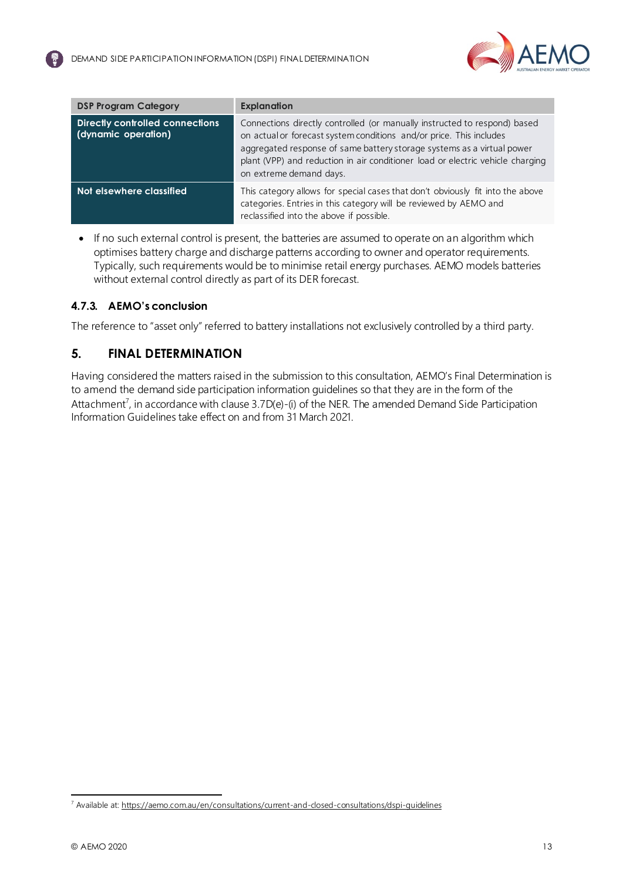

| <b>DSP Program Category</b>                                   | <b>Explanation</b>                                                                                                                                                                                                                                                                                                                      |  |
|---------------------------------------------------------------|-----------------------------------------------------------------------------------------------------------------------------------------------------------------------------------------------------------------------------------------------------------------------------------------------------------------------------------------|--|
| <b>Directly controlled connections</b><br>(dynamic operation) | Connections directly controlled (or manually instructed to respond) based<br>on actual or forecast system conditions and/or price. This includes<br>aggregated response of same battery storage systems as a virtual power<br>plant (VPP) and reduction in air conditioner load or electric vehicle charging<br>on extreme demand days. |  |
| Not elsewhere classified                                      | This category allows for special cases that don't obviously fit into the above<br>categories. Entries in this category will be reviewed by AEMO and<br>reclassified into the above if possible.                                                                                                                                         |  |

• If no such external control is present, the batteries are assumed to operate on an algorithm which optimises battery charge and discharge patterns according to owner and operator requirements. Typically, such requirements would be to minimise retail energy purchases. AEMO models batteries without external control directly as part of its DER forecast.

## **4.7.3. AEMO's conclusion**

The reference to "asset only" referred to battery installations not exclusively controlled by a third party.

## <span id="page-12-0"></span>**5. FINAL DETERMINATION**

Having considered the matters raised in the submission to this consultation, AEMO's Final Determination is to amend the demand side participation information guidelines so that they are in the form of the Attachment<sup>7</sup>, in accordance with clause 3.7D(e)-(i) of the NER. The amended Demand Side Participation Information Guidelines take effect on and from 31 March 2021.

<sup>7</sup> Available at:<https://aemo.com.au/en/consultations/current-and-closed-consultations/dspi-guidelines>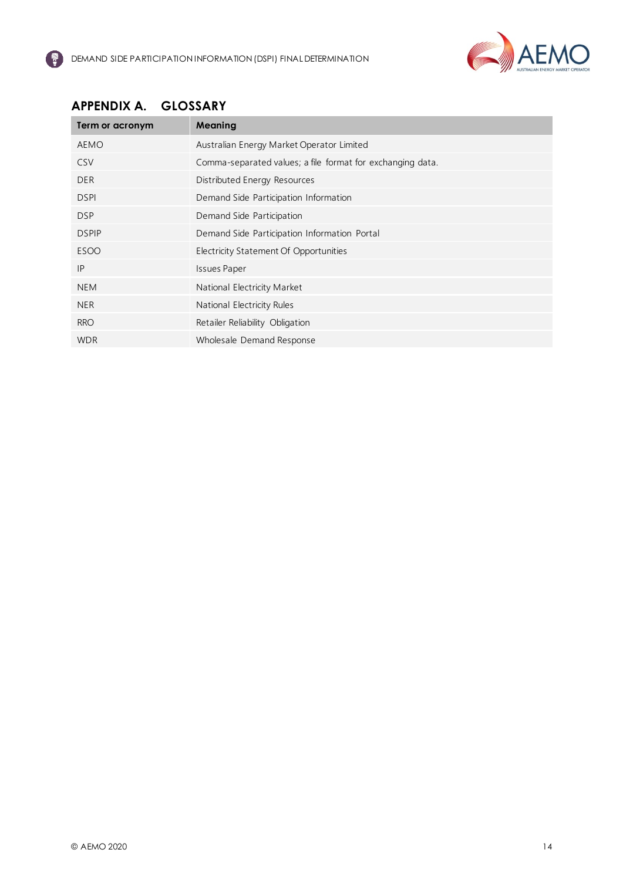

# <span id="page-13-0"></span>**APPENDIX A. GLOSSARY**

| Term or acronym | Meaning                                                    |
|-----------------|------------------------------------------------------------|
| <b>AEMO</b>     | Australian Energy Market Operator Limited                  |
| <b>CSV</b>      | Comma-separated values; a file format for exchanging data. |
| <b>DER</b>      | Distributed Energy Resources                               |
| <b>DSPI</b>     | Demand Side Participation Information                      |
| <b>DSP</b>      | Demand Side Participation                                  |
| <b>DSPIP</b>    | Demand Side Participation Information Portal               |
| <b>ESOO</b>     | Electricity Statement Of Opportunities                     |
| IP              | <b>Issues Paper</b>                                        |
| <b>NEM</b>      | National Electricity Market                                |
| <b>NER</b>      | National Electricity Rules                                 |
| <b>RRO</b>      | Retailer Reliability Obligation                            |
| <b>WDR</b>      | Wholesale Demand Response                                  |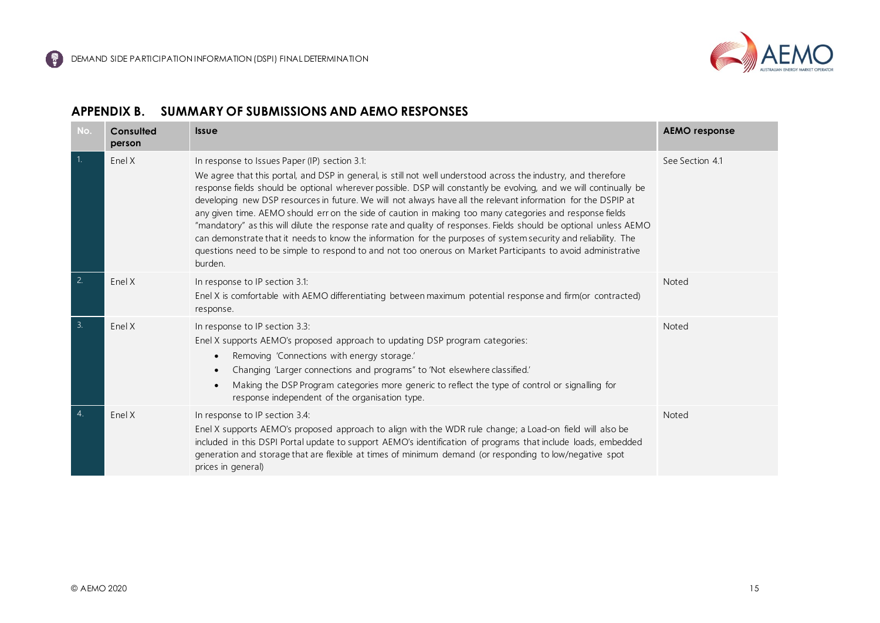

#### **APPENDIX B. SUMMARY OF SUBMISSIONS AND AEMO RESPONSES**

<span id="page-14-0"></span>

| No.              | Consulted<br>person | <b>Issue</b>                                                                                                                                                                                                                                                                                                                                                                                                                                                                                                                                                                                                                                                                                                                                                                                                                                                                        | <b>AEMO</b> response |
|------------------|---------------------|-------------------------------------------------------------------------------------------------------------------------------------------------------------------------------------------------------------------------------------------------------------------------------------------------------------------------------------------------------------------------------------------------------------------------------------------------------------------------------------------------------------------------------------------------------------------------------------------------------------------------------------------------------------------------------------------------------------------------------------------------------------------------------------------------------------------------------------------------------------------------------------|----------------------|
| $\overline{1}$ . | Enel X              | In response to Issues Paper (IP) section 3.1:<br>We agree that this portal, and DSP in general, is still not well understood across the industry, and therefore<br>response fields should be optional wherever possible. DSP will constantly be evolving, and we will continually be<br>developing new DSP resources in future. We will not always have all the relevant information for the DSPIP at<br>any given time. AEMO should err on the side of caution in making too many categories and response fields<br>"mandatory" as this will dilute the response rate and quality of responses. Fields should be optional unless AEMO<br>can demonstrate that it needs to know the information for the purposes of system security and reliability. The<br>questions need to be simple to respond to and not too onerous on Market Participants to avoid administrative<br>burden. | See Section 4.1      |
| $\overline{2}$ . | Enel X              | In response to IP section 3.1:<br>Enel X is comfortable with AEMO differentiating between maximum potential response and firm(or contracted)<br>response.                                                                                                                                                                                                                                                                                                                                                                                                                                                                                                                                                                                                                                                                                                                           | Noted                |
| 3.               | Enel X              | In response to IP section 3.3:<br>Enel X supports AEMO's proposed approach to updating DSP program categories:<br>Removing 'Connections with energy storage.'<br>$\bullet$<br>Changing 'Larger connections and programs" to 'Not elsewhere classified.'<br>$\bullet$<br>Making the DSP Program categories more generic to reflect the type of control or signalling for<br>$\bullet$<br>response independent of the organisation type.                                                                                                                                                                                                                                                                                                                                                                                                                                              | Noted                |
| 4.               | Enel X              | In response to IP section 3.4:<br>Enel X supports AEMO's proposed approach to align with the WDR rule change; a Load-on field will also be<br>included in this DSPI Portal update to support AEMO's identification of programs that include loads, embedded<br>generation and storage that are flexible at times of minimum demand (or responding to low/negative spot<br>prices in general)                                                                                                                                                                                                                                                                                                                                                                                                                                                                                        | Noted                |

6